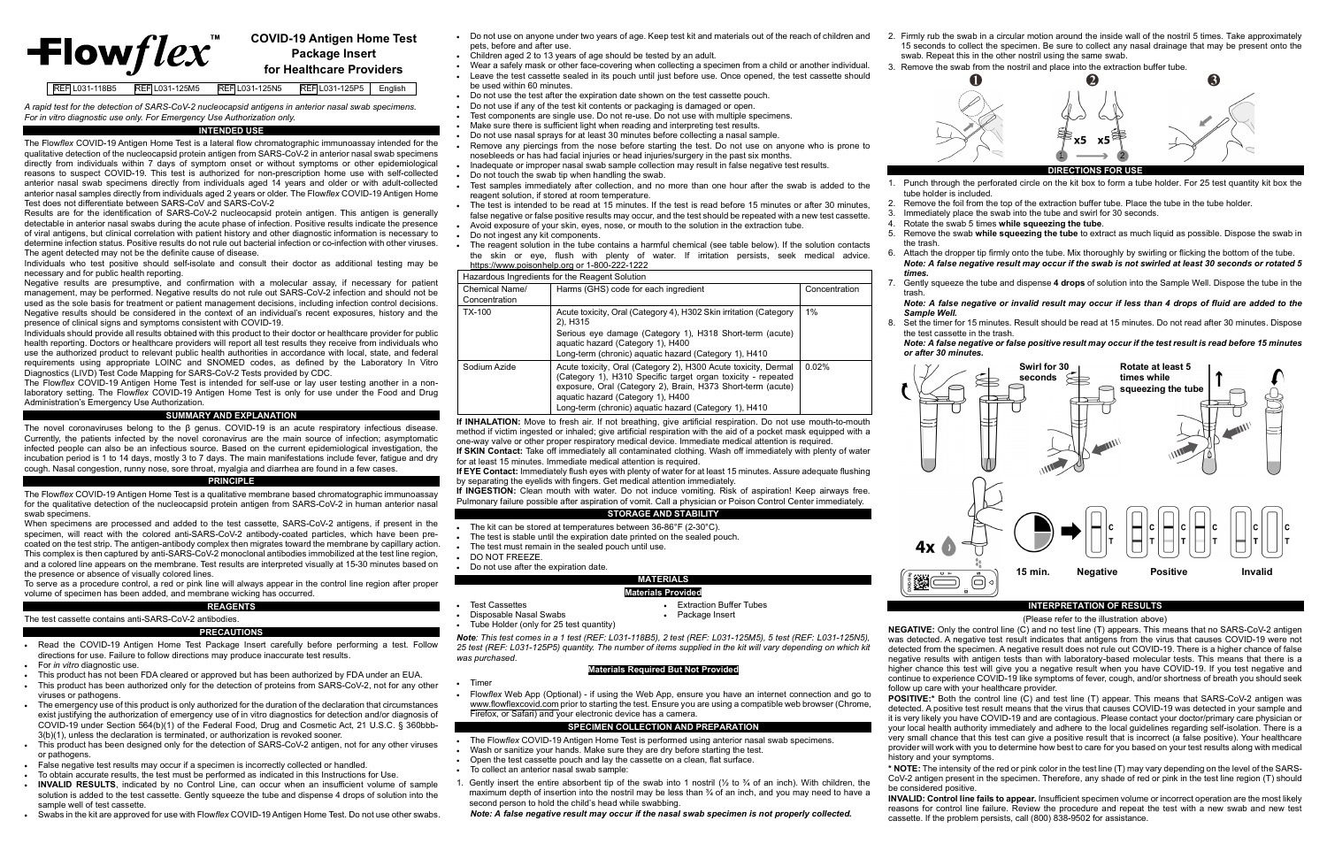# $\pm$ lowflex

#### **COVID-19 Antigen Home Test Package Insert for Healthcare Providers**

REF L031-118B5 REF L031-125M5 REF L031-125N5 REF L031-125P5 English

*A rapid test for the detection of SARS-CoV-2 nucleocapsid antigens in anterior nasal swab specimens. For in vitro diagnostic use only. For Emergency Use Authorization only.*

#### **INTENDED USE**

The Flow*flex* COVID-19 Antigen Home Test is a lateral flow chromatographic immunoassay intended for the qualitative detection of the nucleocapsid protein antigen from SARS-CoV-2 in anterior nasal swab specimens directly from individuals within 7 days of symptom onset or without symptoms or other epidemiological reasons to suspect COVID-19. This test is authorized for non-prescription home use with self-collected anterior nasal swab specimens directly from individuals aged 14 years and older or with adult-collected anterior nasal samples directly from individuals aged 2 years or older. The Flow*flex* COVID-19 Antigen Home Test does not differentiate between SARS-CoV and SARS-CoV-2

Results are for the identification of SARS-CoV-2 nucleocapsid protein antigen. This antigen is generally detectable in anterior nasal swabs during the acute phase of infection. Positive results indicate the presence of viral antigens, but clinical correlation with patient history and other diagnostic information is necessary to determine infection status. Positive results do not rule out bacterial infection or co-infection with other viruses. The agent detected may not be the definite cause of disease.

Individuals who test positive should self-isolate and consult their doctor as additional testing may be necessary and for public health reporting.

Negative results are presumptive, and confirmation with a molecular assay, if necessary for patient management, may be performed. Negative results do not rule out SARS-CoV-2 infection and should not be used as the sole basis for treatment or patient management decisions, including infection control decisions. Negative results should be considered in the context of an individual's recent exposures, history and the presence of clinical signs and symptoms consistent with COVID-19.

Individuals should provide all results obtained with this product to their doctor or healthcare provider for public health reporting. Doctors or healthcare providers will report all test results they receive from individuals who use the authorized product to relevant public health authorities in accordance with local, state, and federal requirements using appropriate LOINC and SNOMED codes, as defined by the Laboratory In Vitro Diagnostics (LIVD) Test Code Mapping for SARS-CoV-2 Tests provided by CDC.

The Flow*flex* COVID-19 Antigen Home Test is intended for self-use or lay user testing another in a nonlaboratory setting. The Flow*flex* COVID-19 Antigen Home Test is only for use under the Food and Drug Administration's Emergency Use Authorization.

#### **SUMMARY AND EXPLANATION**

The novel coronaviruses belong to the β genus. COVID-19 is an acute respiratory infectious disease. Currently, the patients infected by the novel coronavirus are the main source of infection; asymptomatic infected people can also be an infectious source. Based on the current epidemiological investigation, the incubation period is 1 to 14 days, mostly 3 to 7 days. The main manifestations include fever, fatigue and dry cough. Nasal congestion, runny nose, sore throat, myalgia and diarrhea are found in a few cases.

#### **PRINCIPLE**

The Flow*flex* COVID-19 Antigen Home Test is a qualitative membrane based chromatographic immunoassay for the qualitative detection of the nucleocapsid protein antigen from SARS-CoV-2 in human anterior nasal swab specimens.

When specimens are processed and added to the test cassette, SARS-CoV-2 antigens, if present in the specimen, will react with the colored anti-SARS-CoV-2 antibody-coated particles, which have been precoated on the test strip. The antigen-antibody complex then migrates toward the membrane by capillary action. This complex is then captured by anti-SARS-CoV-2 monoclonal antibodies immobilized at the test line region, and a colored line appears on the membrane. Test results are interpreted visually at 15-30 minutes based on the presence or absence of visually colored lines.

To serve as a procedure control, a red or pink line will always appear in the control line region after proper volume of specimen has been added, and membrane wicking has occurred.

### **REAGENTS**

## The test cassette contains anti-SARS-CoV-2 antibodies.

**If INGESTION:** Clean mouth with water. Do not induce vomiting. Risk of aspiration! Keep airways free. Pulmonary failure possible after aspiration of vomit. Call a physician or Poison Control Center immediately.

- **PRECAUTIONS**
- Read the COVID-19 Antigen Home Test Package Insert carefully before performing a test. Follow directions for use. Failure to follow directions may produce inaccurate test results.
- For *in vitro* diagnostic use.
- This product has not been FDA cleared or approved but has been authorized by FDA under an EUA.
- This product has been authorized only for the detection of proteins from SARS-CoV-2, not for any other viruses or pathogens.
- The emergency use of this product is only authorized for the duration of the declaration that circumstances exist justifying the authorization of emergency use of in vitro diagnostics for detection and/or diagnosis of COVID-19 under Section 564(b)(1) of the Federal Food, Drug and Cosmetic Act, 21 U.S.C. § 360bbb-3(b)(1), unless the declaration is terminated, or authorization is revoked sooner.
- This product has been designed only for the detection of SARS-CoV-2 antigen, not for any other viruses or pathogens.
- False negative test results may occur if a specimen is incorrectly collected or handled.
- To obtain accurate results, the test must be performed as indicated in this Instructions for Use.
- **INVALID RESULTS**, indicated by no Control Line, can occur when an insufficient volume of sample solution is added to the test cassette. Gently squeeze the tube and dispense 4 drops of solution into the sample well of test cassette.
- Swabs in the kit are approved for use with Flow*flex* COVID-19 Antigen Home Test. Do not use other swabs.
- Do not use on anyone under two years of age. Keep test kit and materials out of the reach of children and pets, before and after use.
- Children aged 2 to 13 years of age should be tested by an adult.
- Wear a safely mask or other face-covering when collecting a specimen from a child or another individual. • Leave the test cassette sealed in its pouch until just before use. Once opened, the test cassette should be used within 60 minutes.
- Do not use the test after the expiration date shown on the test cassette pouch.
- Do not use if any of the test kit contents or packaging is damaged or open.
	- Test components are single use. Do not re-use. Do not use with multiple specimens.
	- Make sure there is sufficient light when reading and interpreting test results.
	- Do not use nasal sprays for at least 30 minutes before collecting a nasal sample.
- Remove any piercings from the nose before starting the test. Do not use on anyone who is prone to nosebleeds or has had facial injuries or head injuries/surgery in the past six months.
- Inadequate or improper nasal swab sample collection may result in false negative test results.
- Do not touch the swab tip when handling the swab.
- Test samples immediately after collection, and no more than one hour after the swab is added to the reagent solution, if stored at room temperature.
- The test is intended to be read at 15 minutes. If the test is read before 15 minutes or after 30 minutes, false negative or false positive results may occur, and the test should be repeated with a new test cassette.
- Avoid exposure of your skin, eyes, nose, or mouth to the solution in the extraction tube.
- Do not ingest any kit components.
- The reagent solution in the tube contains a harmful chemical (see table below). If the solution contacts the skin or eye, flush with plenty of water. If irritation persists, seek medical advice. [https://www.poisonhelp.org](https://www.poisonhelp.org/) or 1-800-222-1222

**POSITIVE:**\* Both the control line (C) and test line (T) appear. This means that SARS-CoV-2 antigen was detected. A positive test result means that the virus that causes COVID-19 was detected in your sample and it is very likely you have COVID-19 and are contagious. Please contact your doctor/primary care physician or your local health authority immediately and adhere to the local guidelines regarding self-isolation. There is a very small chance that this test can give a positive result that is incorrect (a false positive). Your healthcare provider will work with you to determine how best to care for you based on your test results along with medical

| Hazardous Ingredients for the Reagent Solution |                                                                                                                                                                                                                                                                                             |               |  |  |
|------------------------------------------------|---------------------------------------------------------------------------------------------------------------------------------------------------------------------------------------------------------------------------------------------------------------------------------------------|---------------|--|--|
| Chemical Name/<br>Concentration                | Harms (GHS) code for each ingredient                                                                                                                                                                                                                                                        | Concentration |  |  |
| TX-100                                         | Acute toxicity, Oral (Category 4), H302 Skin irritation (Category<br>2), H315<br>Serious eye damage (Category 1), H318 Short-term (acute)<br>aquatic hazard (Category 1), H400<br>Long-term (chronic) aquatic hazard (Category 1), H410                                                     | 1%            |  |  |
| Sodium Azide                                   | Acute toxicity, Oral (Category 2), H300 Acute toxicity, Dermal<br>(Category 1), H310 Specific target organ toxicity - repeated<br>exposure, Oral (Category 2), Brain, H373 Short-term (acute)<br>aquatic hazard (Category 1), H400<br>Long-term (chronic) aguatic hazard (Category 1), H410 | $0.02\%$      |  |  |

**If INHALATION:** Move to fresh air. If not breathing, give artificial respiration. Do not use mouth-to-mouth method if victim ingested or inhaled; give artificial respiration with the aid of a pocket mask equipped with a one-way valve or other proper respiratory medical device. Immediate medical attention is required. **If SKIN Contact:** Take off immediately all contaminated clothing. Wash off immediately with plenty of water

for at least 15 minutes. Immediate medical attention is required. **If EYE Contact:** Immediately flush eyes with plenty of water for at least 15 minutes. Assure adequate flushing by separating the eyelids with fingers. Get medical attention immediately.

#### **STORAGE AND STABILITY**

- The kit can be stored at temperatures between 36-86°F (2-30°C).
- The test is stable until the expiration date printed on the sealed pouch.
- The test must remain in the sealed pouch until use.
- DO NOT FREEZE.

**Disposable Nasal Swabs** 

• Do not use after the expiration date.

#### **MATERIALS**

#### **Materials Provided**

- Test Cassettes Extraction Buffer Tubes<br>• Disposable Nasal Swabs Package Insert
	-
	-

• Tube Holder (only for 25 test quantity)

*Note: This test comes in a 1 test (REF: L031-118B5), 2 test (REF: L031-125M5), 5 test (REF: L031-125N5), 25 test (REF: L031-125P5) quantity. The number of items supplied in the kit will vary depending on which kit was purchased*.

#### **Materials Required But Not Provided**

• Timer

• Flow*flex* Web App (Optional) - if using the Web App, ensure you have an internet connection and go to [www.flowflexcovid.com](https://www.flowflexcovid.com/) prior to starting the test. Ensure you are using a compatible web browser (Chrome, Firefox, or Safari) and your electronic device has a camera.

#### **SPECIMEN COLLECTION AND PREPARATION**

- The Flow*flex* COVID-19 Antigen Home Test is performed using anterior nasal swab specimens.
- Wash or sanitize your hands. Make sure they are dry before starting the test.
- Open the test cassette pouch and lay the cassette on a clean, flat surface.
- To collect an anterior nasal swab sample:
- 1. Gently insert the entire absorbent tip of the swab into 1 nostril ( $\frac{1}{2}$  to  $\frac{3}{4}$  of an inch). With children, the maximum depth of insertion into the nostril may be less than ¾ of an inch, and you may need to have a second person to hold the child's head while swabbing.

*Note: A false negative result may occur if the nasal swab specimen is not properly collected.*

2. Firmly rub the swab in a circular motion around the inside wall of the nostril 5 times. Take approximately 15 seconds to collect the specimen. Be sure to collect any nasal drainage that may be present onto the swab. Repeat this in the other nostril using the same swab.

3. Remove the swab from the nostril and place into the extraction buffer tube.

1. Punch through the perforated circle on the kit box to form a tube holder. For 25 test quantity kit box the

2. Remove the foil from the top of the extraction buffer tube. Place the tube in the tube holder.<br>3. Immediately place the swab into the tube and swirl for 30 seconds

Immediately place the swab into the tube and swirl for 30 seconds.

4. Rotate the swab 5 times **while squeezing the tube**.

5. Remove the swab **while squeezing the tube** to extract as much liquid as possible. Dispose the swab in

6. Attach the dropper tip firmly onto the tube. Mix thoroughly by swirling or flicking the bottom of the tube. *Note: A false negative result may occur if the swab is not swirled at least 30 seconds or rotated 5* 

- tube holder is included.
- 
- 
- 
- the trash.
	- *times.*
- trash. *Sample Well.*
- the test cassette in the trash. *or after 30 minutes.*



7. Gently squeeze the tube and dispense **4 drops** of solution into the Sample Well. Dispose the tube in the

*Note: A false negative or invalid result may occur if less than 4 drops of fluid are added to the* 

Set the timer for 15 minutes. Result should be read at 15 minutes. Do not read after 30 minutes. Dispose

## *Note: A false negative or false positive result may occur if the test result is read before 15 minutes*

#### **INTERPRETATION OF RESULTS**

(Please refer to the illustration above)

**NEGATIVE:** Only the control line (C) and no test line (T) appears. This means that no SARS-CoV-2 antigen was detected. A negative test result indicates that antigens from the virus that causes COVID-19 were not detected from the specimen. A negative result does not rule out COVID-19. There is a higher chance of false negative results with antigen tests than with laboratory-based molecular tests. This means that there is a higher chance this test will give you a negative result when you have COVID-19. If you test negative and continue to experience COVID-19 like symptoms of fever, cough, and/or shortness of breath you should seek



follow up care with your healthcare provider. history and your symptoms. be considered positive.

**\* NOTE:** The intensity of the red or pink color in the test line (T) may vary depending on the level of the SARS-CoV-2 antigen present in the specimen. Therefore, any shade of red or pink in the test line region (T) should

**INVALID: Control line fails to appear.** Insufficient specimen volume or incorrect operation are the most likely reasons for control line failure. Review the procedure and repeat the test with a new swab and new test cassette. If the problem persists, call (800) 838-9502 for assistance.